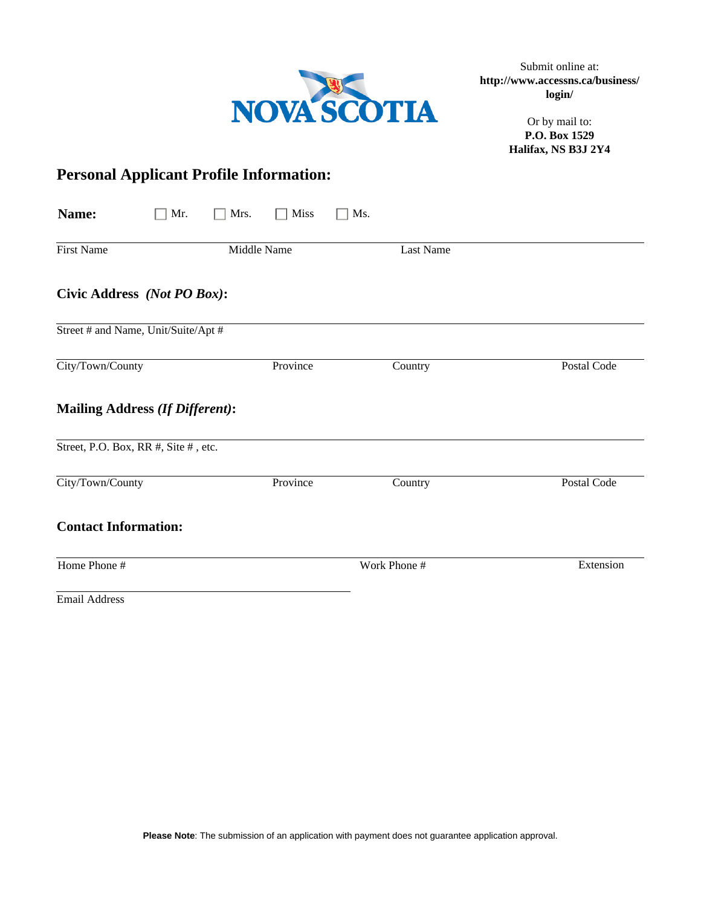

Submit online at: **http://www.accessns.ca/business/ login/** 

> Or by mail to: **P.O. Box 1529 Halifax, NS B3J 2Y4**

# **Personal Applicant Profile Information:**

| Name:                                  | Mrs.<br>Mr. | Miss     | Ms. |                  |             |
|----------------------------------------|-------------|----------|-----|------------------|-------------|
| <b>First Name</b>                      | Middle Name |          |     | <b>Last Name</b> |             |
| Civic Address (Not PO Box):            |             |          |     |                  |             |
| Street # and Name, Unit/Suite/Apt #    |             |          |     |                  |             |
| City/Town/County                       |             | Province |     | Country          | Postal Code |
| <b>Mailing Address (If Different):</b> |             |          |     |                  |             |
| Street, P.O. Box, RR #, Site #, etc.   |             |          |     |                  |             |
| City/Town/County                       |             | Province |     | Country          | Postal Code |
| <b>Contact Information:</b>            |             |          |     |                  |             |
| Home Phone #                           |             |          |     | Work Phone #     | Extension   |
|                                        |             |          |     |                  |             |

Email Address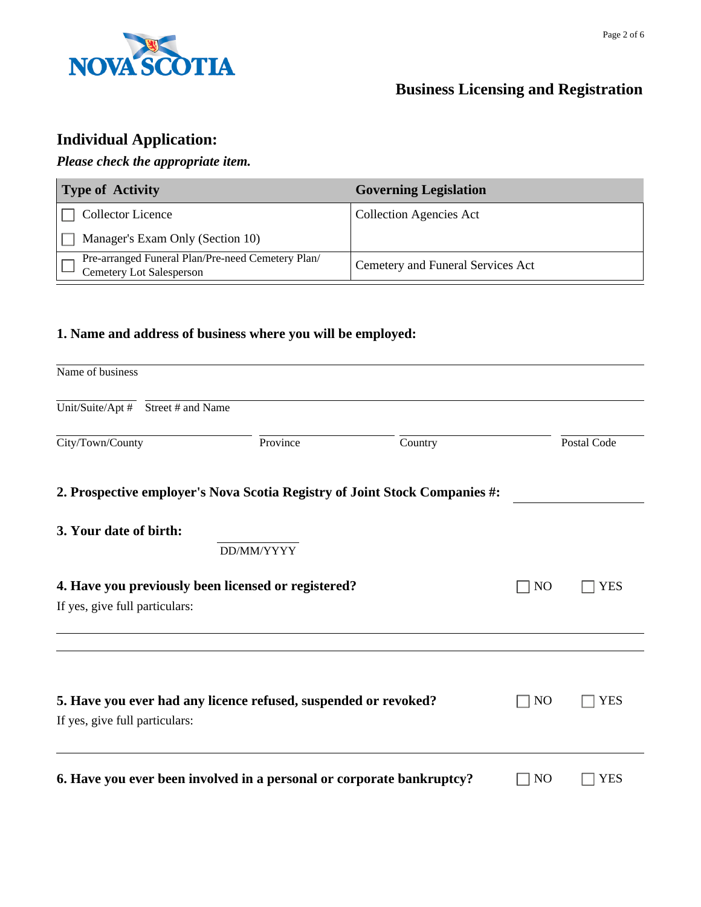

# **Business Licensing and Registration**

# **Individual Application:**

#### *Please check the appropriate item.*

| <b>Type of Activity</b>                                                              | <b>Governing Legislation</b>      |
|--------------------------------------------------------------------------------------|-----------------------------------|
| <b>Collector Licence</b>                                                             | <b>Collection Agencies Act</b>    |
| Manager's Exam Only (Section 10)                                                     |                                   |
| Pre-arranged Funeral Plan/Pre-need Cemetery Plan/<br><b>Cemetery Lot Salesperson</b> | Cemetery and Funeral Services Act |

#### **1. Name and address of business where you will be employed:**

| Name of business               |                                    |                                                                 |                                                                            |                |             |
|--------------------------------|------------------------------------|-----------------------------------------------------------------|----------------------------------------------------------------------------|----------------|-------------|
|                                | Unit/Suite/Apt # Street # and Name |                                                                 |                                                                            |                |             |
| City/Town/County               |                                    | Province                                                        | Country                                                                    |                | Postal Code |
|                                |                                    |                                                                 | 2. Prospective employer's Nova Scotia Registry of Joint Stock Companies #: |                |             |
| 3. Your date of birth:         |                                    | DD/MM/YYYY                                                      |                                                                            |                |             |
| If yes, give full particulars: |                                    | 4. Have you previously been licensed or registered?             |                                                                            | N <sub>O</sub> | <b>YES</b>  |
| If yes, give full particulars: |                                    | 5. Have you ever had any licence refused, suspended or revoked? |                                                                            | N <sub>O</sub> | YES         |
|                                |                                    |                                                                 | 6. Have you ever been involved in a personal or corporate bankruptcy?      | N <sub>O</sub> | YES         |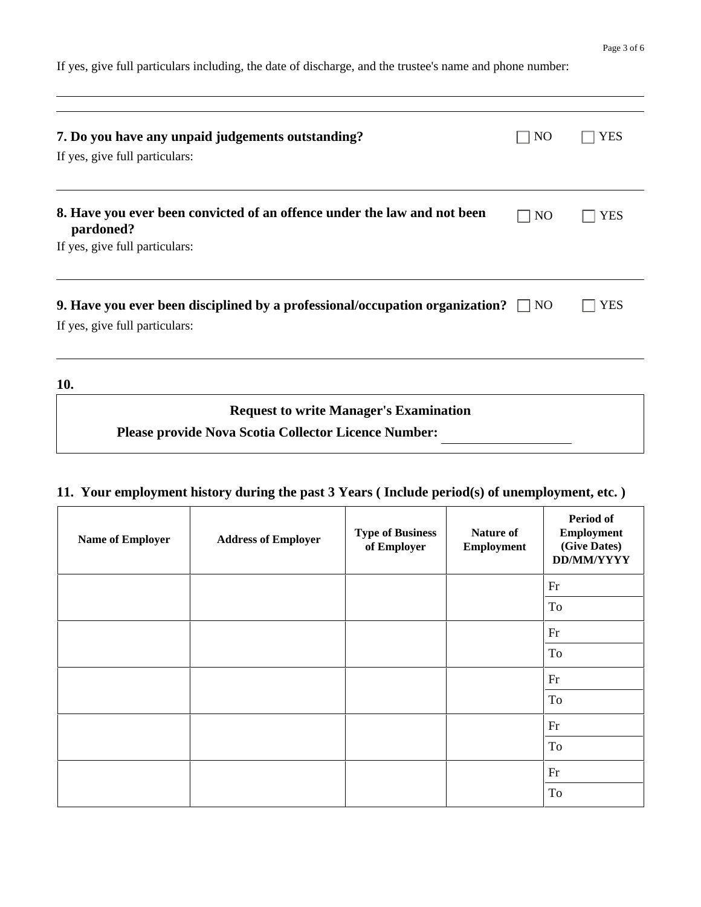If yes, give full particulars including, the date of discharge, and the trustee's name and phone number:

| 7. Do you have any unpaid judgements outstanding?<br>If yes, give full particulars:                                     | NO             | YES |
|-------------------------------------------------------------------------------------------------------------------------|----------------|-----|
| 8. Have you ever been convicted of an offence under the law and not been<br>pardoned?<br>If yes, give full particulars: | N <sub>O</sub> | YES |
| 9. Have you ever been disciplined by a professional/occupation organization? $\Box$<br>If yes, give full particulars:   | NO.            | YES |
| 10.<br><b>Request to write Manager's Examination</b>                                                                    |                |     |
| <b>Please provide Nova Scotia Collector Licence Number:</b>                                                             |                |     |

### **11. Your employment history during the past 3 Years ( Include period(s) of unemployment, etc. )**

| <b>Name of Employer</b> | <b>Address of Employer</b> | <b>Type of Business</b><br>of Employer | <b>Nature of</b><br><b>Employment</b> | <b>Period of</b><br>Employment<br>(Give Dates)<br>DD/MM/YYYY |
|-------------------------|----------------------------|----------------------------------------|---------------------------------------|--------------------------------------------------------------|
|                         |                            |                                        |                                       | Fr                                                           |
|                         |                            |                                        |                                       | To                                                           |
|                         |                            |                                        |                                       | Fr                                                           |
|                         |                            |                                        |                                       | To                                                           |
|                         |                            |                                        |                                       | Fr                                                           |
|                         |                            |                                        |                                       | To                                                           |
|                         |                            |                                        |                                       | Fr                                                           |
|                         |                            |                                        |                                       | To                                                           |
|                         |                            |                                        |                                       | Fr                                                           |
|                         |                            |                                        |                                       | To                                                           |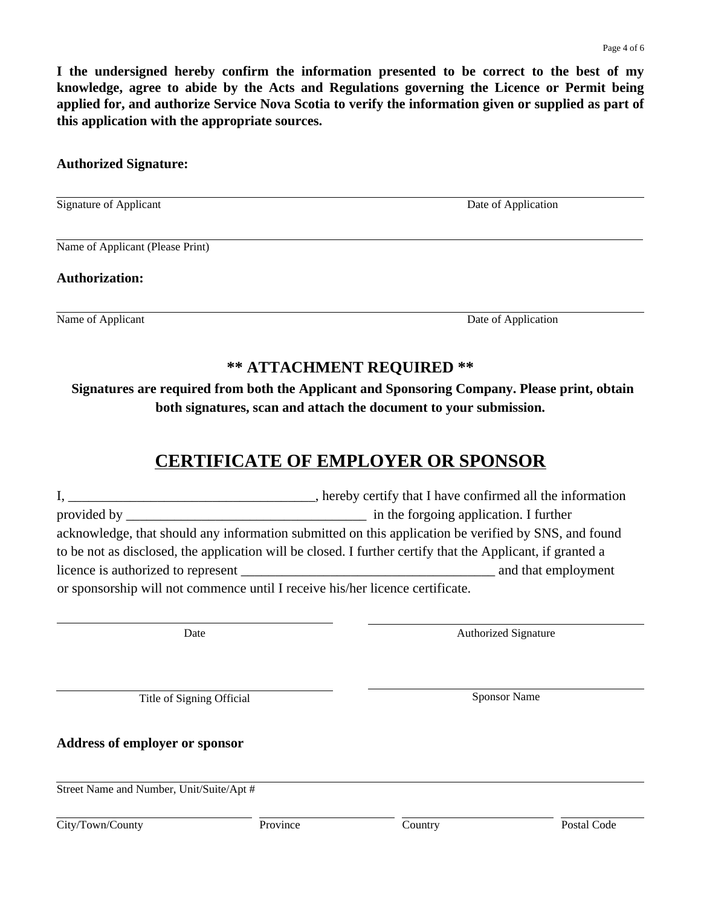**I the undersigned hereby confirm the information presented to be correct to the best of my knowledge, agree to abide by the Acts and Regulations governing the Licence or Permit being applied for, and authorize Service Nova Scotia to verify the information given or supplied as part of this application with the appropriate sources.** 

#### **Authorized Signature:**

Signature of Applicant Date of Applicant Date of Application

Name of Applicant (Please Print)

**Authorization:** 

Name of Applicant Date of Application

### **\*\* ATTACHMENT REQUIRED \*\***

**Signatures are required from both the Applicant and Sponsoring Company. Please print, obtain both signatures, scan and attach the document to your submission.**

### **CERTIFICATE OF EMPLOYER OR SPONSOR**

|                                                                               | hereby certify that I have confirmed all the information                                                   |
|-------------------------------------------------------------------------------|------------------------------------------------------------------------------------------------------------|
|                                                                               | in the forgoing application. I further                                                                     |
|                                                                               | acknowledge, that should any information submitted on this application be verified by SNS, and found       |
|                                                                               | to be not as disclosed, the application will be closed. I further certify that the Applicant, if granted a |
| licence is authorized to represent                                            | and that employment                                                                                        |
| or sponsorship will not commence until I receive his/her licence certificate. |                                                                                                            |

Date **Date Authorized Signature** 

Title of Signing Official Sponsor Name

**Address of employer or sponsor**

Street Name and Number, Unit/Suite/Apt #

City/Town/County Province Country Postal Code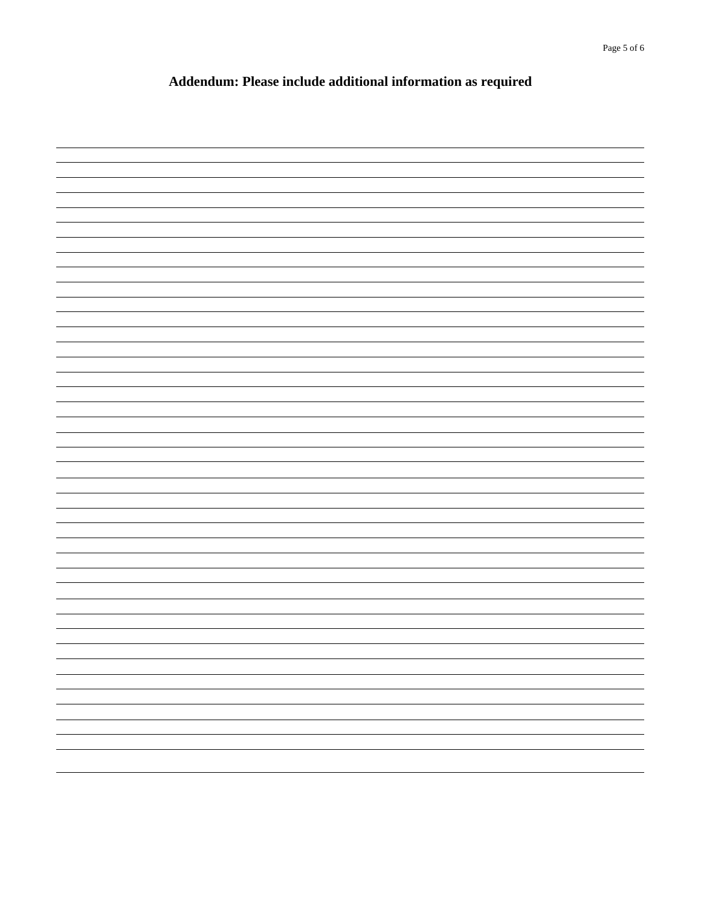### **Addendum: Please include additional information as required**